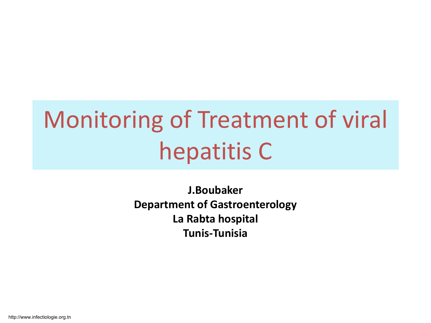# Monitoring of Treatment of viral hepatitis C

**J.Boubaker Department of Gastroenterology La Rabta hospital Tunis-Tunisia** 

http://www.infectiologie.org.tn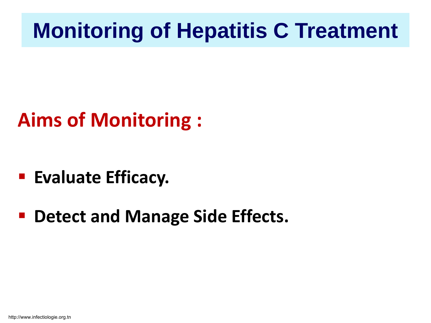### **Monitoring of Hepatitis C Treatment**

### **Aims of Monitoring :**

- **Evaluate Efficacy.**
- **P** Detect and Manage Side Effects.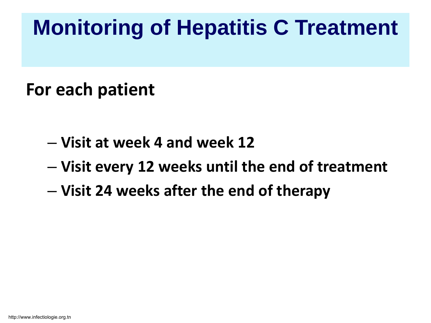## **Monitoring of Hepatitis C Treatment**

#### **For each patient**

- **Visit at week 4 and week 12**
- **Visit every 12 weeks until the end of treatment**
- **Visit 24 weeks after the end of therapy**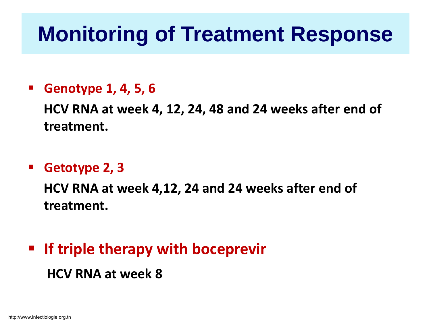### **Monitoring of Treatment Response**

#### **Genotype 1, 4, 5, 6**

**HCV RNA at week 4, 12, 24, 48 and 24 weeks after end of treatment.**

#### **Getotype 2, 3**

**HCV RNA at week 4,12, 24 and 24 weeks after end of treatment.**

### **If triple therapy with boceprevir HCV RNA at week 8**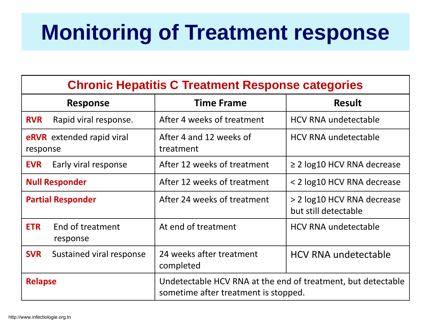## **Monitoring of Treatment response**

| <b>Chronic Hepatitis C Treatment Response categories</b> |                              |                                                                                                      |                                                    |  |
|----------------------------------------------------------|------------------------------|------------------------------------------------------------------------------------------------------|----------------------------------------------------|--|
| <b>Response</b>                                          |                              | <b>Time Frame</b>                                                                                    | <b>Result</b>                                      |  |
| <b>RVR</b>                                               | Rapid viral response.        | After 4 weeks of treatment                                                                           | <b>HCV RNA undetectable</b>                        |  |
| <b>eRVR</b> extended rapid viral<br>response             |                              | After 4 and 12 weeks of<br>treatment                                                                 | <b>HCV RNA undetectable</b>                        |  |
| <b>EVR</b>                                               | Early viral response         | After 12 weeks of treatment                                                                          | $\geq$ 2 log10 HCV RNA decrease                    |  |
| <b>Null Responder</b>                                    |                              | After 12 weeks of treatment                                                                          | < 2 log10 HCV RNA decrease                         |  |
| <b>Partial Responder</b>                                 |                              | After 24 weeks of treatment                                                                          | > 2 log10 HCV RNA decrease<br>but still detectable |  |
| <b>ETR</b>                                               | End of treatment<br>response | At end of treatment                                                                                  | <b>HCV RNA undetectable</b>                        |  |
| <b>SVR</b>                                               | Sustained viral response     | 24 weeks after treatment<br>completed                                                                | <b>HCV RNA undetectable</b>                        |  |
| <b>Relapse</b>                                           |                              | Undetectable HCV RNA at the end of treatment, but detectable<br>sometime after treatment is stopped. |                                                    |  |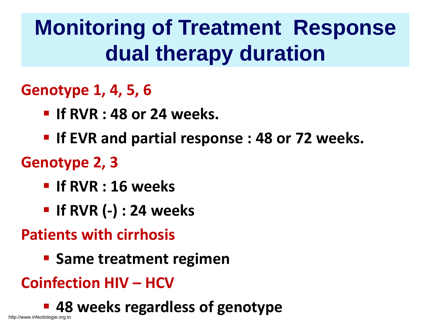## **Monitoring of Treatment Response dual therapy duration**

#### **Genotype 1, 4, 5, 6**

- **If RVR : 48 or 24 weeks.**
- **If EVR and partial response : 48 or 72 weeks.**

#### **Genotype 2, 3**

- **If RVR : 16 weeks**
- **If RVR (-) : 24 weeks**

#### **Patients with cirrhosis**

**Same treatment regimen** 

### **Coinfection HIV – HCV**

**48 weeks regardless of genotype**

http://www.infectiologie.org.tn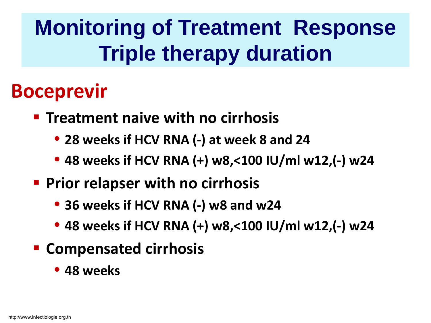## **Monitoring of Treatment Response Triple therapy duration**

### **Boceprevir**

- **F** Treatment naive with no cirrhosis
	- **28 weeks if HCV RNA (-) at week 8 and 24**
	- **48 weeks if HCV RNA (+) w8,<100 IU/ml w12,(-) w24**
- **Prior relapser with no cirrhosis** 
	- **36 weeks if HCV RNA (-) w8 and w24**
	- **48 weeks if HCV RNA (+) w8,<100 IU/ml w12,(-) w24**
- **E** Compensated cirrhosis
	- **48 weeks**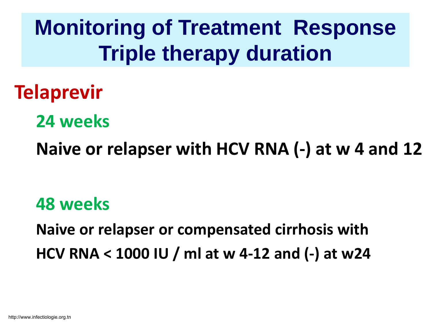**Monitoring of Treatment Response Triple therapy duration**

**Telaprevir**

**24 weeks**

**Naive or relapser with HCV RNA (-) at w 4 and 12** 

**48 weeks**

**Naive or relapser or compensated cirrhosis with HCV RNA < 1000 IU / ml at w 4-12 and (-) at w24**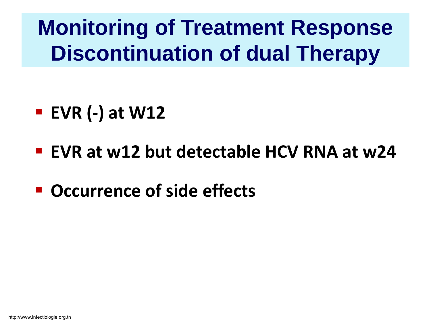## **Monitoring of Treatment Response Discontinuation of dual Therapy**

- **EVR (-) at W12**
- **EVR at w12 but detectable HCV RNA at w24**
- **Occurrence of side effects**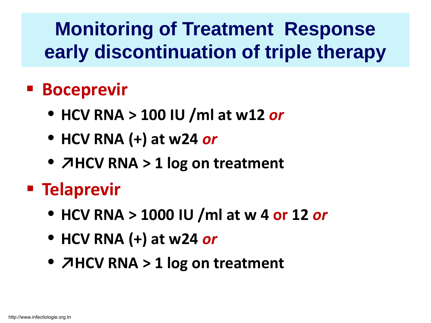### **Monitoring of Treatment Response early discontinuation of triple therapy**

### **Boceprevir**

- **HCV RNA > 100 IU /ml at w12** *or*
- **HCV RNA (+) at w24** *or*
- **↗HCV RNA > 1 log on treatment**

### **Telaprevir**

- **HCV RNA > 1000 IU /ml at w 4 or 12** *or*
- **HCV RNA (+) at w24** *or*
- **↗HCV RNA > 1 log on treatment**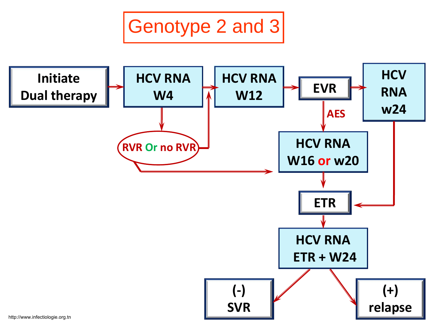Genotype 2 and 3

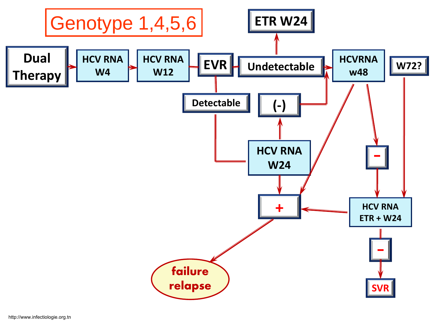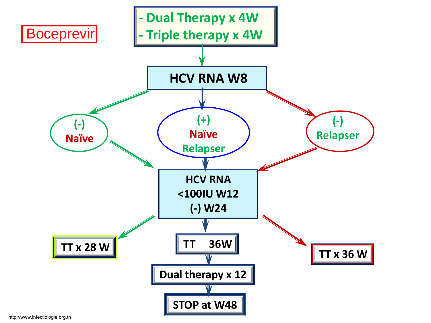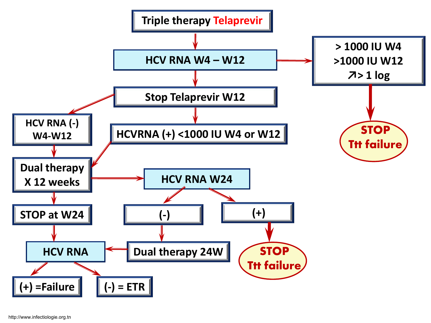

http://www.infectiologie.org.tn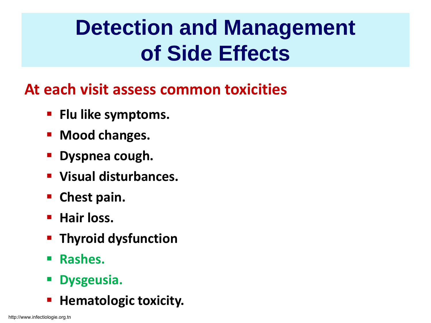## **Detection and Management of Side Effects**

#### **At each visit assess common toxicities**

- **Filu like symptoms.**
- **Mood changes.**
- **Dyspnea cough.**
- **Visual disturbances.**
- **Chest pain.**
- **Hair loss.**
- **Thyroid dysfunction**
- **Rashes.**
- **Dysgeusia.**
- **Hematologic toxicity.**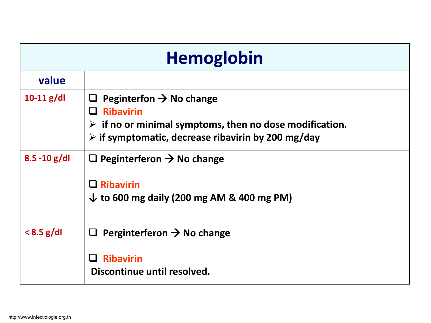| <b>Hemoglobin</b> |                                                                                                                                                                                                        |  |
|-------------------|--------------------------------------------------------------------------------------------------------------------------------------------------------------------------------------------------------|--|
| value             |                                                                                                                                                                                                        |  |
| $10-11$ g/dl      | Peginterfon $\rightarrow$ No change<br><b>Ribavirin</b><br>$\triangleright$ if no or minimal symptoms, then no dose modification.<br>$\triangleright$ if symptomatic, decrease ribavirin by 200 mg/day |  |
| $8.5 - 10$ g/dl   | Peginterferon $\rightarrow$ No change<br><b>Ribavirin</b><br>$\downarrow$ to 600 mg daily (200 mg AM & 400 mg PM)                                                                                      |  |
| $< 8.5$ g/dl      | $\Box$ Perginterferon $\rightarrow$ No change<br><b>Ribavirin</b><br>Discontinue until resolved.                                                                                                       |  |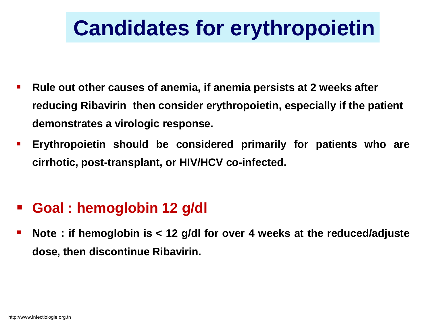## **Candidates for erythropoietin**

- **Rule out other causes of anemia, if anemia persists at 2 weeks after reducing Ribavirin then consider erythropoietin, especially if the patient demonstrates a virologic response.**
- **Erythropoietin should be considered primarily for patients who are cirrhotic, post-transplant, or HIV/HCV co-infected.**

#### **Goal : hemoglobin 12 g/dl**

 **Note : if hemoglobin is < 12 g/dl for over 4 weeks at the reduced/adjuste dose, then discontinue Ribavirin.**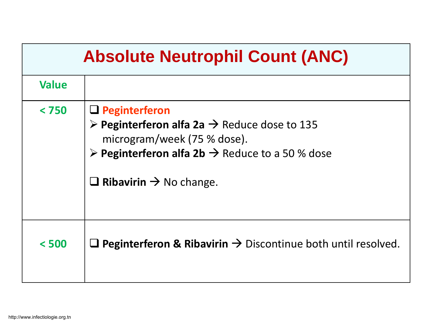| <b>Absolute Neutrophil Count (ANC)</b> |                                                                                                                                                                                                                                                           |  |  |  |
|----------------------------------------|-----------------------------------------------------------------------------------------------------------------------------------------------------------------------------------------------------------------------------------------------------------|--|--|--|
| <b>Value</b>                           |                                                                                                                                                                                                                                                           |  |  |  |
| < 750                                  | $\Box$ Peginterferon<br>$\triangleright$ Peginterferon alfa 2a $\rightarrow$ Reduce dose to 135<br>microgram/week (75 % dose).<br>$\triangleright$ Peginterferon alfa 2b $\rightarrow$ Reduce to a 50 % dose<br>$\Box$ Ribavirin $\rightarrow$ No change. |  |  |  |
| < 500                                  | <b>Q</b> Peginterferon & Ribavirin $\rightarrow$ Discontinue both until resolved.                                                                                                                                                                         |  |  |  |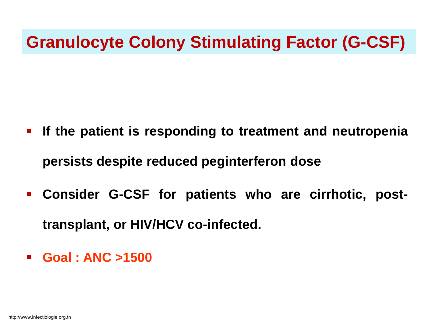#### **Granulocyte Colony Stimulating Factor (G-CSF)**

- **If the patient is responding to treatment and neutropenia persists despite reduced peginterferon dose**
- **Consider G-CSF for patients who are cirrhotic, posttransplant, or HIV/HCV co-infected.**
- **Goal : ANC >1500**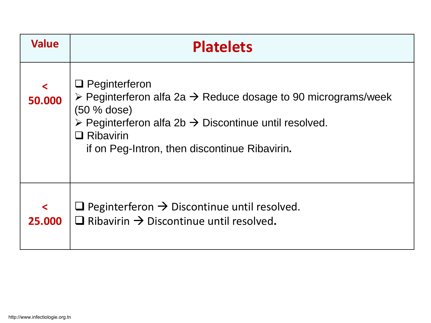| <b>Value</b>      | <b>Platelets</b>                                                                                                                                                                                                                                                                           |
|-------------------|--------------------------------------------------------------------------------------------------------------------------------------------------------------------------------------------------------------------------------------------------------------------------------------------|
| $\prec$<br>50.000 | $\Box$ Peginterferon<br>$\triangleright$ Peginterferon alfa 2a $\rightarrow$ Reduce dosage to 90 micrograms/week<br>$(50 %$ dose)<br>$\triangleright$ Peginterferon alfa 2b $\rightarrow$ Discontinue until resolved.<br>$\Box$ Ribavirin<br>if on Peg-Intron, then discontinue Ribavirin. |
| $\prec$<br>25,000 | $\Box$ Peginterferon $\rightarrow$ Discontinue until resolved.<br>Ribavirin $\rightarrow$ Discontinue until resolved.                                                                                                                                                                      |